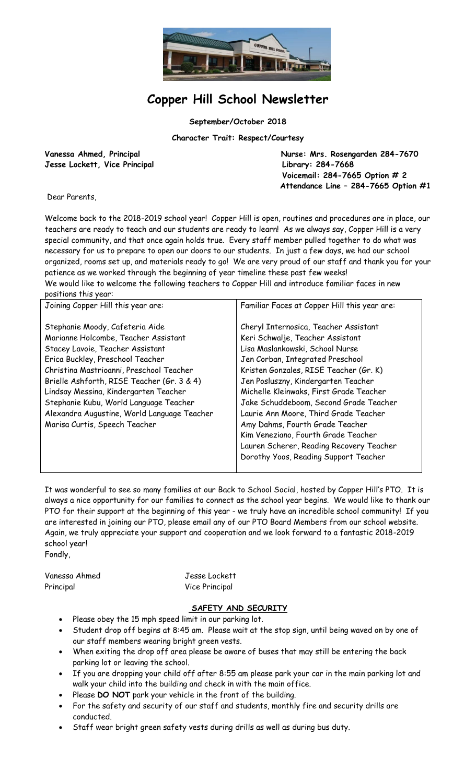

# **Copper Hill School Newsletter**

**September/October 2018**

**Character Trait: Respect/Courtesy**

**Jesse Lockett, Vice Principal Library: 284-7668**

Vanessa Ahmed, Principal **Nurse: Mrs. Rosengarden 284-7670 Voicemail: 284-7665 Option # 2 Attendance Line – 284-7665 Option #1**

Dear Parents,

Welcome back to the 2018-2019 school year! Copper Hill is open, routines and procedures are in place, our teachers are ready to teach and our students are ready to learn! As we always say, Copper Hill is a very special community, and that once again holds true. Every staff member pulled together to do what was necessary for us to prepare to open our doors to our students. In just a few days, we had our school organized, rooms set up, and materials ready to go! We are very proud of our staff and thank you for your patience as we worked through the beginning of year timeline these past few weeks!

We would like to welcome the following teachers to Copper Hill and introduce familiar faces in new positions this year:

| Joining Copper Hill this year are:                                                                                                                                                                                                                                                                                                                                                                           | Familiar Faces at Copper Hill this year are:                                                                                                                                                                                                                                                                                                                                                                                                                                                                                   |
|--------------------------------------------------------------------------------------------------------------------------------------------------------------------------------------------------------------------------------------------------------------------------------------------------------------------------------------------------------------------------------------------------------------|--------------------------------------------------------------------------------------------------------------------------------------------------------------------------------------------------------------------------------------------------------------------------------------------------------------------------------------------------------------------------------------------------------------------------------------------------------------------------------------------------------------------------------|
| Stephanie Moody, Cafeteria Aide<br>Marianne Holcombe, Teacher Assistant<br>Stacey Lavoie, Teacher Assistant<br>Erica Buckley, Preschool Teacher<br>Christina Mastrioanni, Preschool Teacher<br>Brielle Ashforth, RISE Teacher (Gr. 3 & 4)<br>Lindsay Messina, Kindergarten Teacher<br>Stephanie Kubu, World Language Teacher<br>Alexandra Augustine, World Language Teacher<br>Marisa Curtis, Speech Teacher | Cheryl Internosica, Teacher Assistant<br>Keri Schwalje, Teacher Assistant<br>Lisa Maslankowski, School Nurse<br>Jen Corban, Integrated Preschool<br>Kristen Gonzales, RISE Teacher (Gr. K)<br>Jen Posluszny, Kindergarten Teacher<br>Michelle Kleinwaks, First Grade Teacher<br>Jake Schuddeboom, Second Grade Teacher<br>Laurie Ann Moore, Third Grade Teacher<br>Amy Dahms, Fourth Grade Teacher<br>Kim Veneziano, Fourth Grade Teacher<br>Lauren Scherer, Reading Recovery Teacher<br>Dorothy Yoos, Reading Support Teacher |
|                                                                                                                                                                                                                                                                                                                                                                                                              |                                                                                                                                                                                                                                                                                                                                                                                                                                                                                                                                |

It was wonderful to see so many families at our Back to School Social, hosted by Copper Hill's PTO. It is always a nice opportunity for our families to connect as the school year begins. We would like to thank our PTO for their support at the beginning of this year - we truly have an incredible school community! If you are interested in joining our PTO, please email any of our PTO Board Members from our school website. Again, we truly appreciate your support and cooperation and we look forward to a fantastic 2018-2019 school year! Fondly,

Vanessa Ahmed Jesse Lockett

Principal Vice Principal

# **SAFETY AND SECURITY**

- Please obey the 15 mph speed limit in our parking lot.
- Student drop off begins at 8:45 am. Please wait at the stop sign, until being waved on by one of our staff members wearing bright green vests.
- When exiting the drop off area please be aware of buses that may still be entering the back parking lot or leaving the school.
- If you are dropping your child off after 8:55 am please park your car in the main parking lot and walk your child into the building and check in with the main office.
- Please **DO NOT** park your vehicle in the front of the building.
- For the safety and security of our staff and students, monthly fire and security drills are conducted.
- Staff wear bright green safety vests during drills as well as during bus duty.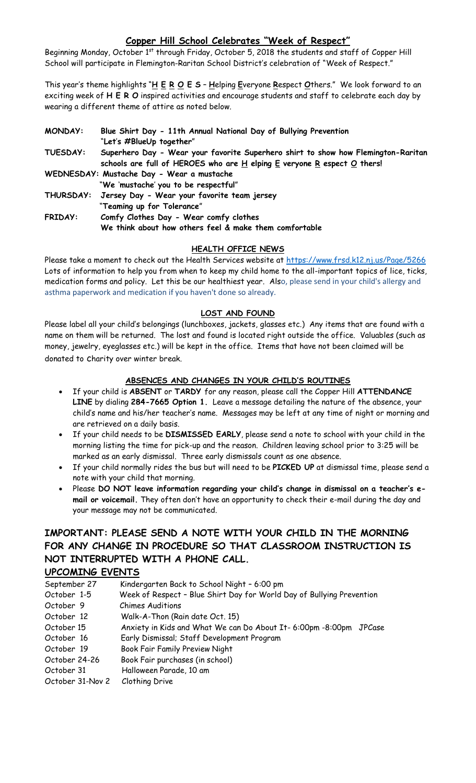# **Copper Hill School Celebrates "Week of Respect"**

Beginning Monday, October 1<sup>st</sup> through Friday, October 5, 2018 the students and staff of Copper Hill School will participate in Flemington-Raritan School District's celebration of "Week of Respect."

This year's theme highlights "**H E R O E S** – **H**elping **E**veryone **R**espect **O**thers." We look forward to an exciting week of **H E R O** inspired activities and encourage students and staff to celebrate each day by wearing a different theme of attire as noted below.

| <b>MONDAY:</b>  | Blue Shirt Day - 11th Annual National Day of Bullying Prevention<br>"Let's #BlueUp together"                                                                       |
|-----------------|--------------------------------------------------------------------------------------------------------------------------------------------------------------------|
| <b>TUESDAY:</b> | Superhero Day - Wear your favorite Superhero shirt to show how Flemington-Raritan<br>schools are full of HEROES who are $H$ elping $E$ veryone R espect $O$ thers! |
|                 | WEDNESDAY: Mustache Day - Wear a mustache                                                                                                                          |
|                 | "We 'mustache' you to be respectful"<br>THURSDAY: Jersey Day - Wear your favorite team jersey                                                                      |
|                 | "Teaming up for Tolerance"                                                                                                                                         |
| <b>FRIDAY:</b>  | Comfy Clothes Day - Wear comfy clothes<br>We think about how others feel & make them comfortable                                                                   |

#### **HEALTH OFFICE NEWS**

Please take a moment to check out the Health Services website at https://www.frsd.k12.nj.us/Page/5266 Lots of information to help you from when to keep my child home to the all-important topics of lice, ticks, medication forms and policy. Let this be our healthiest year. Also, please send in your child's allergy and asthma paperwork and medication if you haven't done so already.

#### **LOST AND FOUND**

Please label all your child's belongings (lunchboxes, jackets, glasses etc.) Any items that are found with a name on them will be returned. The lost and found is located right outside the office. Valuables (such as money, jewelry, eyeglasses etc.) will be kept in the office. Items that have not been claimed will be donated to charity over winter break.

# **ABSENCES AND CHANGES IN YOUR CHILD'S ROUTINES**

- If your child is **ABSENT** or **TARDY** for any reason, please call the Copper Hill **ATTENDANCE LINE** by dialing **284-7665 Option 1.** Leave a message detailing the nature of the absence, your child's name and his/her teacher's name. Messages may be left at any time of night or morning and are retrieved on a daily basis.
- If your child needs to be **DISMISSED EARLY**, please send a note to school with your child in the morning listing the time for pick-up and the reason. Children leaving school prior to 3:25 will be marked as an early dismissal. Three early dismissals count as one absence.
- If your child normally rides the bus but will need to be **PICKED UP** at dismissal time, please send a note with your child that morning.
- Please **DO NOT leave information regarding your child's change in dismissal on a teacher's email or voicemail.** They often don't have an opportunity to check their e-mail during the day and your message may not be communicated.

# **IMPORTANT: PLEASE SEND A NOTE WITH YOUR CHILD IN THE MORNING FOR ANY CHANGE IN PROCEDURE SO THAT CLASSROOM INSTRUCTION IS NOT INTERRUPTED WITH A PHONE CALL.**

# **UPCOMING EVENTS**

| September 27 |  | Kindergarten Back to School Night - 6:00 pm |
|--------------|--|---------------------------------------------|
|--------------|--|---------------------------------------------|

- October 1-5 Week of Respect Blue Shirt Day for World Day of Bullying Prevention
- October 9 Chimes Auditions
- October 12 Walk-A-Thon (Rain date Oct. 15)
- October 15 Anxiety in Kids and What We can Do About It- 6:00pm -8:00pm JPCase
- October 16 Early Dismissal; Staff Development Program
- October 19 Book Fair Family Preview Night
- October 24-26 Book Fair purchases (in school)
- October 31 Halloween Parade, 10 am
- October 31-Nov 2 Clothing Drive